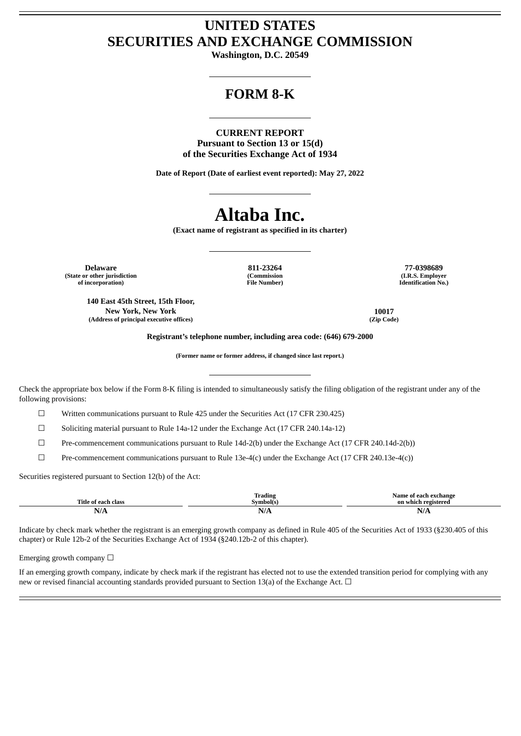## **UNITED STATES SECURITIES AND EXCHANGE COMMISSION**

**Washington, D.C. 20549**

### **FORM 8-K**

#### **CURRENT REPORT**

**Pursuant to Section 13 or 15(d) of the Securities Exchange Act of 1934**

**Date of Report (Date of earliest event reported): May 27, 2022**

## **Altaba Inc.**

**(Exact name of registrant as specified in its charter)**

**Delaware 811-23264 77-0398689 (State or other jurisdiction of incorporation)**

**140 East 45th Street, 15th Floor, New York, New York 10017 (Address of principal executive offices) (Zip Code)**

**(Commission File Number)**

**(I.R.S. Employer Identification No.)**

**Registrant's telephone number, including area code: (646) 679-2000**

**(Former name or former address, if changed since last report.)**

Check the appropriate box below if the Form 8-K filing is intended to simultaneously satisfy the filing obligation of the registrant under any of the following provisions:

☐ Written communications pursuant to Rule 425 under the Securities Act (17 CFR 230.425)

☐ Soliciting material pursuant to Rule 14a-12 under the Exchange Act (17 CFR 240.14a-12)

☐ Pre-commencement communications pursuant to Rule 14d-2(b) under the Exchange Act (17 CFR 240.14d-2(b))

☐ Pre-commencement communications pursuant to Rule 13e-4(c) under the Exchange Act (17 CFR 240.13e-4(c))

Securities registered pursuant to Section 12(b) of the Act:

| Title o.<br>class | $\sim$<br>Trading<br>Svmbol(s | Name of<br>ı exchange<br>en n<br>on which<br>ı vadistavac |
|-------------------|-------------------------------|-----------------------------------------------------------|
| NT/4<br>IN/H      | ערו<br>11/7                   | N/A                                                       |

Indicate by check mark whether the registrant is an emerging growth company as defined in Rule 405 of the Securities Act of 1933 (§230.405 of this chapter) or Rule 12b-2 of the Securities Exchange Act of 1934 (§240.12b-2 of this chapter).

Emerging growth company  $\Box$ 

If an emerging growth company, indicate by check mark if the registrant has elected not to use the extended transition period for complying with any new or revised financial accounting standards provided pursuant to Section 13(a) of the Exchange Act.  $\Box$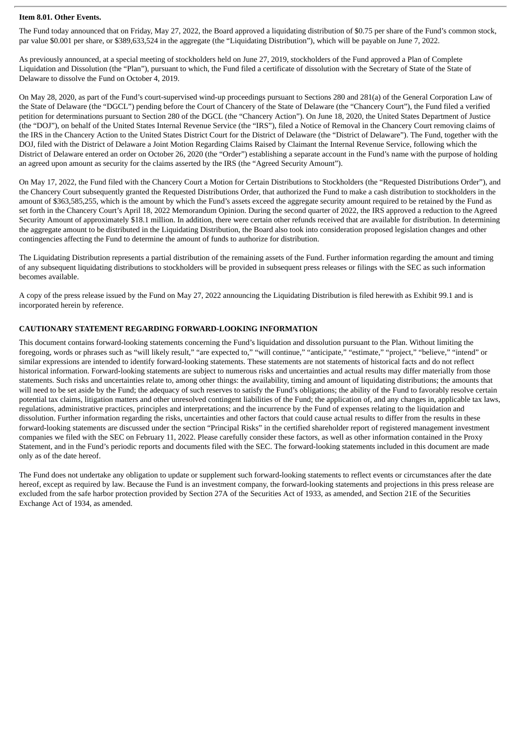#### **Item 8.01. Other Events.**

The Fund today announced that on Friday, May 27, 2022, the Board approved a liquidating distribution of \$0.75 per share of the Fund's common stock, par value \$0.001 per share, or \$389,633,524 in the aggregate (the "Liquidating Distribution"), which will be payable on June 7, 2022.

As previously announced, at a special meeting of stockholders held on June 27, 2019, stockholders of the Fund approved a Plan of Complete Liquidation and Dissolution (the "Plan"), pursuant to which, the Fund filed a certificate of dissolution with the Secretary of State of the State of Delaware to dissolve the Fund on October 4, 2019.

On May 28, 2020, as part of the Fund's court-supervised wind-up proceedings pursuant to Sections 280 and 281(a) of the General Corporation Law of the State of Delaware (the "DGCL") pending before the Court of Chancery of the State of Delaware (the "Chancery Court"), the Fund filed a verified petition for determinations pursuant to Section 280 of the DGCL (the "Chancery Action"). On June 18, 2020, the United States Department of Justice (the "DOJ"), on behalf of the United States Internal Revenue Service (the "IRS"), filed a Notice of Removal in the Chancery Court removing claims of the IRS in the Chancery Action to the United States District Court for the District of Delaware (the "District of Delaware"). The Fund, together with the DOJ, filed with the District of Delaware a Joint Motion Regarding Claims Raised by Claimant the Internal Revenue Service, following which the District of Delaware entered an order on October 26, 2020 (the "Order") establishing a separate account in the Fund's name with the purpose of holding an agreed upon amount as security for the claims asserted by the IRS (the "Agreed Security Amount").

On May 17, 2022, the Fund filed with the Chancery Court a Motion for Certain Distributions to Stockholders (the "Requested Distributions Order"), and the Chancery Court subsequently granted the Requested Distributions Order, that authorized the Fund to make a cash distribution to stockholders in the amount of \$363,585,255, which is the amount by which the Fund's assets exceed the aggregate security amount required to be retained by the Fund as set forth in the Chancery Court's April 18, 2022 Memorandum Opinion. During the second quarter of 2022, the IRS approved a reduction to the Agreed Security Amount of approximately \$18.1 million. In addition, there were certain other refunds received that are available for distribution. In determining the aggregate amount to be distributed in the Liquidating Distribution, the Board also took into consideration proposed legislation changes and other contingencies affecting the Fund to determine the amount of funds to authorize for distribution.

The Liquidating Distribution represents a partial distribution of the remaining assets of the Fund. Further information regarding the amount and timing of any subsequent liquidating distributions to stockholders will be provided in subsequent press releases or filings with the SEC as such information becomes available.

A copy of the press release issued by the Fund on May 27, 2022 announcing the Liquidating Distribution is filed herewith as Exhibit 99.1 and is incorporated herein by reference.

#### **CAUTIONARY STATEMENT REGARDING FORWARD-LOOKING INFORMATION**

This document contains forward-looking statements concerning the Fund's liquidation and dissolution pursuant to the Plan. Without limiting the foregoing, words or phrases such as "will likely result," "are expected to," "will continue," "anticipate," "estimate," "project," "believe," "intend" or similar expressions are intended to identify forward-looking statements. These statements are not statements of historical facts and do not reflect historical information. Forward-looking statements are subject to numerous risks and uncertainties and actual results may differ materially from those statements. Such risks and uncertainties relate to, among other things: the availability, timing and amount of liquidating distributions; the amounts that will need to be set aside by the Fund; the adequacy of such reserves to satisfy the Fund's obligations; the ability of the Fund to favorably resolve certain potential tax claims, litigation matters and other unresolved contingent liabilities of the Fund; the application of, and any changes in, applicable tax laws, regulations, administrative practices, principles and interpretations; and the incurrence by the Fund of expenses relating to the liquidation and dissolution. Further information regarding the risks, uncertainties and other factors that could cause actual results to differ from the results in these forward-looking statements are discussed under the section "Principal Risks" in the certified shareholder report of registered management investment companies we filed with the SEC on February 11, 2022. Please carefully consider these factors, as well as other information contained in the Proxy Statement, and in the Fund's periodic reports and documents filed with the SEC. The forward-looking statements included in this document are made only as of the date hereof.

The Fund does not undertake any obligation to update or supplement such forward-looking statements to reflect events or circumstances after the date hereof, except as required by law. Because the Fund is an investment company, the forward-looking statements and projections in this press release are excluded from the safe harbor protection provided by Section 27A of the Securities Act of 1933, as amended, and Section 21E of the Securities Exchange Act of 1934, as amended.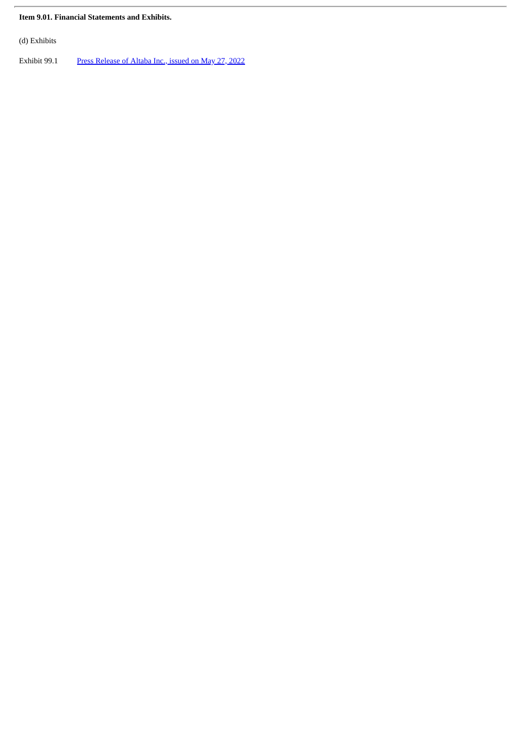#### **Item 9.01. Financial Statements and Exhibits.**

(d) Exhibits

Exhibit 99.1 Press [Release](#page-4-0) of Altaba Inc., issued on May 27, 2022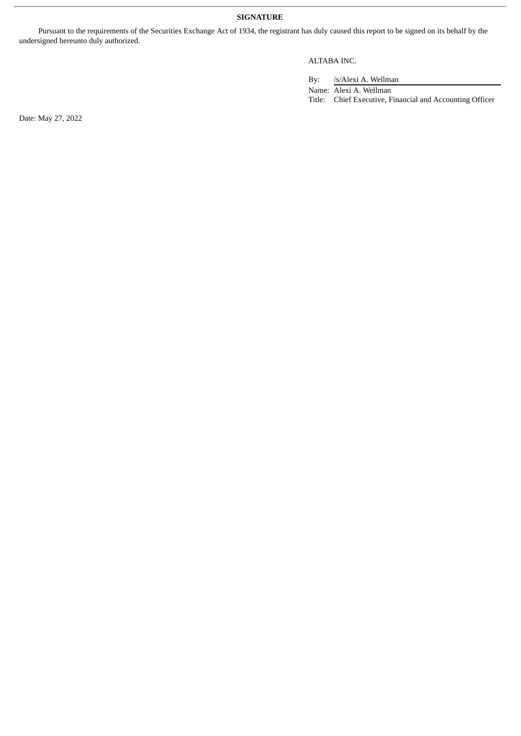#### **SIGNATURE**

Pursuant to the requirements of the Securities Exchange Act of 1934, the registrant has duly caused this report to be signed on its behalf by the undersigned hereunto duly authorized.

#### ALTABA INC.

By: /s/Alexi A. Wellman

Name: Alexi A. Wellman Title: Chief Executive, Financial and Accounting Officer

Date: May 27, 2022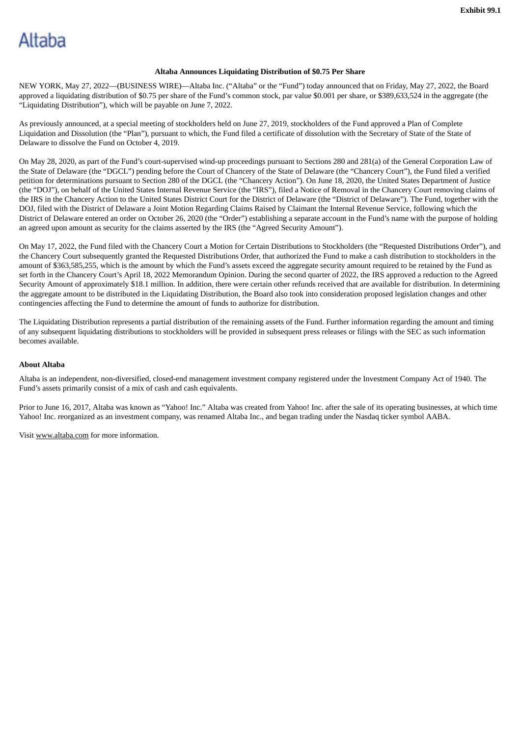# <span id="page-4-0"></span>Altaba

#### **Altaba Announces Liquidating Distribution of \$0.75 Per Share**

NEW YORK, May 27, 2022—(BUSINESS WIRE)—Altaba Inc. ("Altaba" or the "Fund") today announced that on Friday, May 27, 2022, the Board approved a liquidating distribution of \$0.75 per share of the Fund's common stock, par value \$0.001 per share, or \$389,633,524 in the aggregate (the "Liquidating Distribution"), which will be payable on June 7, 2022.

As previously announced, at a special meeting of stockholders held on June 27, 2019, stockholders of the Fund approved a Plan of Complete Liquidation and Dissolution (the "Plan"), pursuant to which, the Fund filed a certificate of dissolution with the Secretary of State of the State of Delaware to dissolve the Fund on October 4, 2019.

On May 28, 2020, as part of the Fund's court-supervised wind-up proceedings pursuant to Sections 280 and 281(a) of the General Corporation Law of the State of Delaware (the "DGCL") pending before the Court of Chancery of the State of Delaware (the "Chancery Court"), the Fund filed a verified petition for determinations pursuant to Section 280 of the DGCL (the "Chancery Action"). On June 18, 2020, the United States Department of Justice (the "DOJ"), on behalf of the United States Internal Revenue Service (the "IRS"), filed a Notice of Removal in the Chancery Court removing claims of the IRS in the Chancery Action to the United States District Court for the District of Delaware (the "District of Delaware"). The Fund, together with the DOJ, filed with the District of Delaware a Joint Motion Regarding Claims Raised by Claimant the Internal Revenue Service, following which the District of Delaware entered an order on October 26, 2020 (the "Order") establishing a separate account in the Fund's name with the purpose of holding an agreed upon amount as security for the claims asserted by the IRS (the "Agreed Security Amount").

On May 17, 2022, the Fund filed with the Chancery Court a Motion for Certain Distributions to Stockholders (the "Requested Distributions Order"), and the Chancery Court subsequently granted the Requested Distributions Order, that authorized the Fund to make a cash distribution to stockholders in the amount of \$363,585,255, which is the amount by which the Fund's assets exceed the aggregate security amount required to be retained by the Fund as set forth in the Chancery Court's April 18, 2022 Memorandum Opinion. During the second quarter of 2022, the IRS approved a reduction to the Agreed Security Amount of approximately \$18.1 million. In addition, there were certain other refunds received that are available for distribution. In determining the aggregate amount to be distributed in the Liquidating Distribution, the Board also took into consideration proposed legislation changes and other contingencies affecting the Fund to determine the amount of funds to authorize for distribution.

The Liquidating Distribution represents a partial distribution of the remaining assets of the Fund. Further information regarding the amount and timing of any subsequent liquidating distributions to stockholders will be provided in subsequent press releases or filings with the SEC as such information becomes available.

#### **About Altaba**

Altaba is an independent, non-diversified, closed-end management investment company registered under the Investment Company Act of 1940. The Fund's assets primarily consist of a mix of cash and cash equivalents.

Prior to June 16, 2017, Altaba was known as "Yahoo! Inc." Altaba was created from Yahoo! Inc. after the sale of its operating businesses, at which time Yahoo! Inc. reorganized as an investment company, was renamed Altaba Inc., and began trading under the Nasdaq ticker symbol AABA.

Visit www.altaba.com for more information.